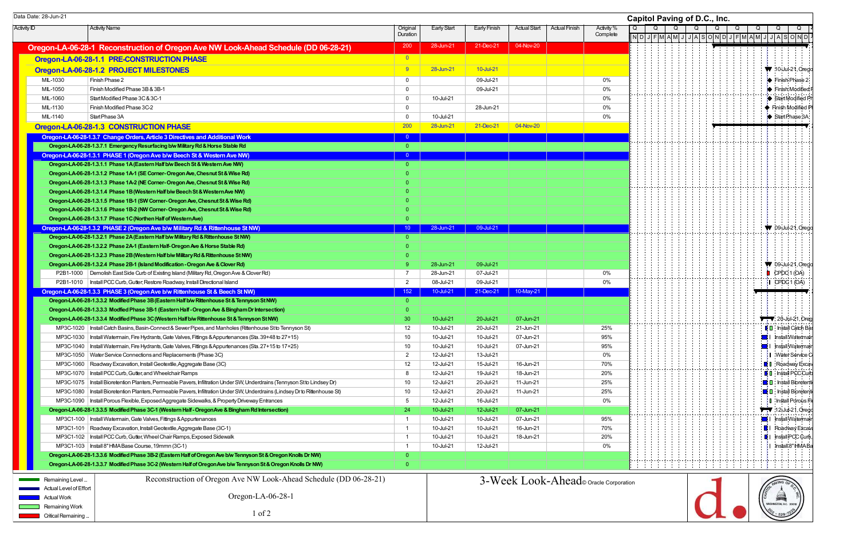Activity ID Activity Name Original **Duration** Early Start | Early Finish | Actual Start | Actual Finish | Activity % **Complete** Oregon-LA-06-28-1 Reconstruction of Oregon Ave NW Look-Ahead Schedule (DD 06-28-21) 200 28-Jun-21 21-Dec-21 31-Dec-21 Oregon-LA-06-28-1.1 PRE-CONSTRUCTION PHASE **CONSTRUCTION PHASE Oregon-LA-06-28-1.2 PROJECT MILESTONES 19 28-Jun-21 28-Jun-21 28-Jun-21 28-Jun-21 28-Jun-21 28-Jun-21 28-Jun-21 28-Jun-21 28-Jun-21 28-Jun-21 28-Jun-21 28-Jun-21 28-Jun-21 28-Jun-21 28-Jun-21 28-Jun-21 28-Jun-21 28-Jun-**MIL-1030 Finish Phase 2 0 09-Jul-21 0% MIL-1050 Finish Modified Phase 3B & 3B-1 0 09-Jul-21 0% MIL-1060 Start Modified Phase 3C & 3C-1 0 2% of the start of the start of the start of the start of the start of the start of the start of the start of the start of the start of the start of the start of the start of the s MIL-1130 Finish Modified Phase 3C-2 **0 28-Jun-21** 0 28-Jun-21 0 28-Jun-21 0 28-Jun-21 0 % MIL-1140 Start Phase 3A 0 10-Jul-21 0% **Oregon-LA-06-28-1.3 CONSTRUCTION PHASE** 200 28-Jun-21 200 28-Jun-21 21-Dec-21 04-Nov-20 Oregon-LA-06-28-1.3.7 Change Orders, Article 3 Directives and Additional Work 0 Oregon-LA-06-28-1.3.7.1 Emergency Resurfacing b/w Military Rd & Horse Stable Rd 0 Oregon-LA-06-28-1.3.1 PHASE 1 (Oregon Ave b/w Beech St & Western Ave NW) and the contract of the contract of the contract of the contract of the contract of the contract of the contract of the contract of the contract of t Oregon-LA-06-28-1.3.1.1 Phase 1A (Eastern Half b/w Beech St & Western Ave NW) 0 Oregon-LA-06-28-1.3.1.2 Phase 1A-1 (SE Corner- Oregon Ave, Chesnut St & Wise Rd) 0 Oregon-LA-06-28-1.3.1.3 Phase 1A-2 (NE Corner- Oregon Ave, Chesnut St & Wise Rd) 0 Oregon-LA-06-28-1.3.1.4 Phase 1B (Western Half b/w Beech St & Western Ave NW) 0 Oregon-LA-06-28-1.3.1.5 Phase 1B-1 (SW Corner- Oregon Ave, Chesnut St & Wise Rd) 0 Oregon-LA-06-28-1.3.1.6 Phase 1B-2 (NW Corner- Oregon Ave, Chesnut St & Wise Rd) 0 Oregon-LA-06-28-1.3.1.7 Phase 1C (Northen Half of Western Ave) Oregon-LA-06-28-1.3.2 PHASE 2 (Oregon Ave b/w Military Rd & Rittenhouse St NW) 10 28-Jun-21 28-Jun-21 09-Jul-21 09-Jul-21 Oregon-LA-06-28-1.3.2.1 Phase 2A (Eastern Half b/w Military Rd & Rittenhouse St NW) 0 Oregon-LA-06-28-1.3.2.2 Phase 2A-1 (Eastern Half- Oregon Ave & Horse Stable Rd) 0 Oregon-LA-06-28-1.3.2.3 Phase 2B (Western Half b/w Military Rd & Rittenhouse St NW) 0 Oregon-LA-06-28-1.3.2.4 Phase 2B-1 (Island Modification - Oregon Ave & Clover Rd) **9** 28-Jun-21 09-Jul-21 09-Jul-21 P2B1-1000 Demolish East Side Curb of Existing Island (Military Rd, Oregon Ave & Clover Rd) 7 28-Jun-21 07-Jul-21 07-Jul-21 07-Jul-21 0% P2B1-1010 Install PCC Curb, Gutter; Restore Roadway, Install Directional Island 0% 0% 08-Jul-21 09-Jul-21 09-Jul-21 09-Jul-21 09-Jul-21 09-Jul-21 09-Jul-21 09-Jul-21 09-Jul-21 09-Jul-21 09-Jul-21 09-Jul-21 09-Jul-21 09-Jul **Oregon-LA-06-28-1.3.3 PHASE 3 (Oregon Ave b/w Rittenhouse St & Beech St NW)** 152 10-Jul-21 21-Dec-21 21-Dec-21 21-Dec-21 10-May-21 Oregon-LA-06-28-1.3.3.2 Modified Phase 3B (Eastern Half b/w Rittenhouse St & Tennyson St NW) 0 Oregon-LA-06-28-1.3.3.3 Modfied Phase 3B-1 (Eastern Half - Oregon Ave & Bingham Dr Intersection) 0 Oregon-LA-06-28-1.3.3.4 Modified Phase 3C (Western Half b/w Rittenhouse St & Tennyson St NW) 30 10-Jul-21 20-Jul-21 07-Jun-21 07-Jun-21 MP3C-1020 Install Catch Basins, Basin-Connect & Sewer Pipes, and Manholes (Rittenhouse St to Tennyson St) 12 10-Jul-21 20-Jul-21 21-Jun-21 21-Jun-21 21-Jun-21 25% MP3C-1030 Install Watermain, Fire Hydrants, Gate Valves, Fittings & Appurtenances (Sta. 39+48 to 27+15) 10 10-Jul-21 10-Jul-21 07-Jun-21 95% MP3C-1040 Install Watermain, Fire Hydrants, Gate Valves, Fittings & Appurtenances (Sta. 27+15 to 17+25) 10 10-Jul-21 10-Jul-21 07-Jun-21 95% MP3C-1050 Water Service Connections and Replacements (Phase 3C) 0% and 2 12-Jul-21 13-Jul-21 13-Jul-21 0% MP3C-1060 Roadway Excavation, Install Geotextile, Aggregate Base (3C) 12 12-Jul-21 15-Jul-21 16-Jun-21 70% MP3C-1070 Install PCC Curb, Gutter, and Wheelchair Ramps 8 12-Jul-21 19-Jul-21 18-Jun-21 20% MP3C-1075 Install Bioretention Planters, Permeable Pavers, Infiltration Under SW, Underdrains (Tennyson St to Lindsey Dr) 10 12-Jul-21 20-Jul-21 11-Jun-21 11-Jun-21 25% MP3C-1080 | Install Bioretention Planters, Permeable Pavers, Infiltration Under SW, Underdrains (Lindsey Dr to Rittenhouse St) 10 12-Jul-21 20-Jul-21 11-Jun-21 11-Jun-21 25% MP3C-1090 Install Porous Flexible, Exposed Aggregate Sidewalks, & Property Driveway Entrances 6 12-Jul-21 16-Jul-21 16-Jul-21 16-Jul-21 16-Jul-21 0% Oregon-LA-06-28-1.3.3.5 Modified Phase 3C-1 (Western Half - Oregon Ave & Bingham Rd Intersection) 24 10-Jul-21 12-Jul-21 07-Jun-21 07-Jun-21 07-Jun-21 MP3C1-100 | Install Watermain, Gate Valves, Fittings & Appurtenances 1 1 10-Jul-21 10-Jul-21 10-Jul-21 07-Jun-21 95% MP3C1-101 Roadway Excavation, Install Geotextile, Aggregate Base (3C-1) 1 10-Jul-21 10-Jul-21 10-Jul-21 16-Jun-21 16-Jun-21 70% MP3C1-102 Install PCC Curb, Gutter, Wheel Chair Ramps, Exposed Sidewalk 20% and the content of the content of the content of the content of the content of the content of the content of the content of the content of the con MP3C1-103 | Install 8" HMA Base Course, 19mmn (3C-1) 1 0% 1 1 10-Jul-21 12-Jul-21 12-Jul-21 12-Jul-21 0% 1 Oregon-LA-06-28-1.3.3.6 Modified Phase 3B-2 (Eastern Half of Oregon Ave b/w Tennyson St & Oregon Knolls Dr NW) 0 Oregon-LA-06-28-1.3.3.7 Modified Phase 3C-2 (Western Half of Oregon Ave b/w Tennyson St & Oregon Knolls Dr NW) 0 Data Date: 28-Jun-21 **Capitol Paving of D.C., Inc.** Remaining Level. Actual Level of Effort Actual Work **Remaining Work** Critical Remaining ... Reconstruction of Oregon Ave NW Look-Ahead Schedule (DD 06-28-21) Oregon-LA-06-28-1 1 of 2 3-Week Look-Ahead© Oracle Corporation

| Capitol Paving of D.C., Inc. |             |   |  |   |   |  | $\overline{Q}$ | $\overline{Q}$ |                | $\overline{Q}$         | $\overline{Q}$             | k                                       |
|------------------------------|-------------|---|--|---|---|--|----------------|----------------|----------------|------------------------|----------------------------|-----------------------------------------|
| Q<br>ND                      | Q<br>JFMAMJ | Q |  | Q | Q |  |                |                |                |                        |                            |                                         |
|                              |             |   |  |   |   |  |                |                |                |                        |                            |                                         |
|                              |             |   |  |   |   |  |                |                |                |                        |                            |                                         |
|                              |             |   |  |   |   |  |                |                |                |                        |                            |                                         |
|                              |             |   |  |   |   |  |                |                |                |                        |                            | $\blacktriangledown$ 10-Jul-21, Orego   |
|                              |             |   |  |   |   |  |                |                |                |                        |                            | $\blacktriangleright$ Finish Phase 2    |
|                              |             |   |  |   |   |  |                |                |                |                        |                            | $\blacktriangleright$ Finish Modified F |
|                              |             |   |  |   |   |  |                |                |                |                        |                            | Start Modified Pr                       |
|                              |             |   |  |   |   |  |                |                |                |                        |                            | Finish Modified PI                      |
|                              |             |   |  |   |   |  |                |                |                |                        |                            | Start Phase 3A                          |
|                              |             |   |  |   |   |  |                |                |                |                        |                            |                                         |
|                              |             |   |  |   |   |  |                |                |                |                        |                            |                                         |
|                              |             |   |  |   |   |  |                |                |                |                        |                            |                                         |
|                              |             |   |  |   |   |  |                |                |                |                        |                            |                                         |
|                              |             |   |  |   |   |  |                |                |                |                        |                            |                                         |
|                              |             |   |  |   |   |  |                |                |                |                        |                            |                                         |
|                              |             |   |  |   |   |  |                |                |                |                        |                            |                                         |
|                              |             |   |  |   |   |  |                |                |                |                        |                            |                                         |
|                              |             |   |  |   |   |  |                |                |                |                        |                            |                                         |
|                              |             |   |  |   |   |  |                |                |                |                        |                            |                                         |
|                              |             |   |  |   |   |  |                |                |                |                        |                            |                                         |
|                              |             |   |  |   |   |  |                |                |                |                        |                            |                                         |
|                              |             |   |  |   |   |  |                |                |                |                        |                            | $\sqrt{\phantom{a}}$ 09-Jul-21, Orego   |
|                              |             |   |  |   |   |  |                |                |                |                        |                            |                                         |
|                              |             |   |  |   |   |  |                |                |                |                        |                            |                                         |
|                              |             |   |  |   |   |  |                |                |                |                        |                            |                                         |
|                              |             |   |  |   |   |  |                |                |                |                        |                            | $\blacktriangledown$ 09-Jul-21, Orego   |
|                              |             |   |  |   |   |  |                |                |                |                        | $\Box$ CPDC 1 (OA)         |                                         |
|                              |             |   |  |   |   |  |                |                |                |                        | $\overline{I}$ CPDC 1 (OA) |                                         |
|                              |             |   |  |   |   |  |                |                |                |                        |                            |                                         |
|                              |             |   |  |   |   |  |                |                |                |                        |                            |                                         |
|                              |             |   |  |   |   |  |                |                |                |                        |                            |                                         |
|                              |             |   |  |   |   |  |                |                |                |                        |                            | $\blacktriangledown$ 20-Jul-21, Oreg    |
|                              |             |   |  |   |   |  |                |                |                |                        |                            |                                         |
|                              |             |   |  |   |   |  |                |                |                |                        |                            | $\mathbf{I}$ $\Box$ Install Catch Bas   |
|                              |             |   |  |   |   |  |                |                |                |                        |                            | Install Watermair                       |
|                              |             |   |  |   |   |  |                |                | d ای           |                        |                            | Install Watermair                       |
|                              |             |   |  |   |   |  |                |                |                |                        |                            | I Water Service C                       |
|                              |             |   |  |   |   |  |                |                |                |                        |                            | <b>E</b> I Roadway Excav                |
|                              |             |   |  |   |   |  |                |                |                |                        |                            | <b>0</b> Install PCC Curb               |
|                              |             |   |  |   |   |  |                |                |                |                        |                            | <b>D</b> : Install Bioretenti           |
|                              |             |   |  |   |   |  |                |                |                |                        |                            | <b>O</b> Install Bioretenti             |
|                              |             |   |  |   |   |  |                |                |                |                        |                            | <b>I</b> Install Porous Fi              |
|                              |             |   |  |   |   |  |                |                |                |                        |                            | $'$ 12-Jul-21, Orego                    |
|                              |             |   |  |   |   |  |                |                | $\blacksquare$ |                        |                            | Install Watermair                       |
|                              |             |   |  |   |   |  |                |                |                |                        |                            | $\blacksquare$   Roadway Excava         |
|                              |             |   |  |   |   |  |                |                |                |                        |                            | $\blacksquare$ I Install PCC Curb,      |
|                              |             |   |  |   |   |  |                |                |                |                        |                            | I Install 8" HMA Ba                     |
|                              |             |   |  |   |   |  |                |                |                |                        |                            |                                         |
|                              |             |   |  |   |   |  |                |                |                |                        |                            |                                         |
|                              |             |   |  |   |   |  |                |                |                |                        |                            |                                         |
|                              |             |   |  |   |   |  |                |                |                |                        |                            |                                         |
| tion                         |             |   |  |   |   |  |                |                |                |                        |                            |                                         |
|                              |             |   |  |   |   |  |                |                |                | <b>Alling</b>          |                            |                                         |
|                              |             |   |  |   |   |  |                |                |                | WASHINGTON, D.C. 20018 |                            |                                         |
|                              |             |   |  |   |   |  |                |                |                |                        |                            |                                         |
|                              |             |   |  |   |   |  |                |                |                | $529 -$                |                            |                                         |
|                              |             |   |  |   |   |  |                |                |                |                        |                            |                                         |